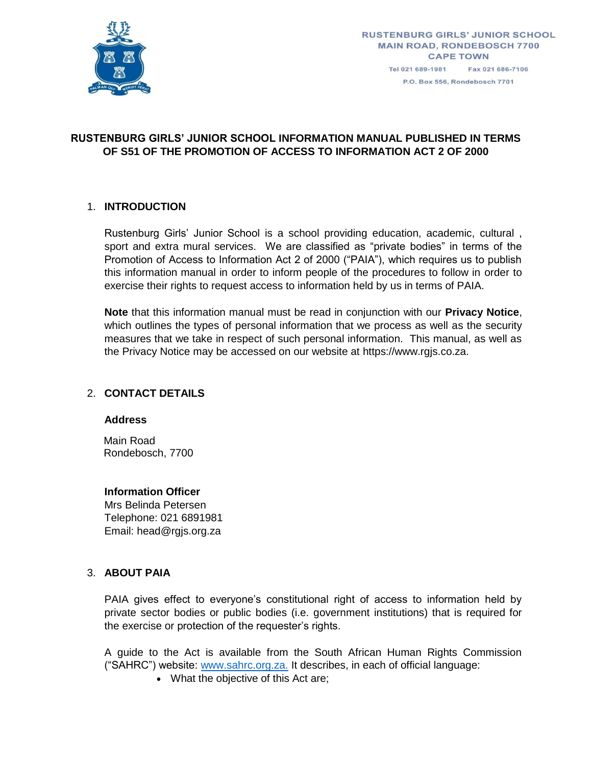

P.O. Box 556, Rondebosch 7701

# **RUSTENBURG GIRLS' JUNIOR SCHOOL INFORMATION MANUAL PUBLISHED IN TERMS OF S51 OF THE PROMOTION OF ACCESS TO INFORMATION ACT 2 OF 2000**

# 1. **INTRODUCTION**

Rustenburg Girls' Junior School is a school providing education, academic, cultural , sport and extra mural services. We are classified as "private bodies" in terms of the Promotion of Access to Information Act 2 of 2000 ("PAIA"), which requires us to publish this information manual in order to inform people of the procedures to follow in order to exercise their rights to request access to information held by us in terms of PAIA.

**Note** that this information manual must be read in conjunction with our **Privacy Notice**, which outlines the types of personal information that we process as well as the security measures that we take in respect of such personal information. This manual, as well as the Privacy Notice may be accessed on our website at https://www.rgjs.co.za.

# 2. **CONTACT DETAILS**

### **Address**

Main Road Rondebosch, 7700

### **Information Officer**

Mrs Belinda Petersen Telephone: 021 6891981 Email: head@rgjs.org.za

### 3. **ABOUT PAIA**

PAIA gives effect to everyone's constitutional right of access to information held by private sector bodies or public bodies (i.e. government institutions) that is required for the exercise or protection of the requester's rights.

A guide to the Act is available from the South African Human Rights Commission ("SAHRC") website: [www.sahrc.org.za.](http://www.sahrc.org.za/) It describes, in each of official language:

• What the objective of this Act are;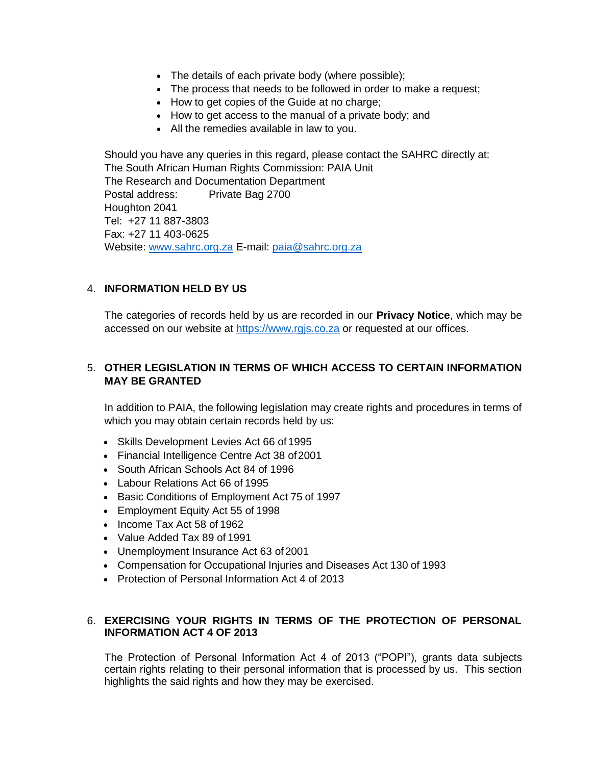- The details of each private body (where possible);
- The process that needs to be followed in order to make a request;
- How to get copies of the Guide at no charge;
- How to get access to the manual of a private body; and
- All the remedies available in law to you.

Should you have any queries in this regard, please contact the SAHRC directly at: The South African Human Rights Commission: PAIA Unit The Research and Documentation Department Postal address: Private Bag 2700 Houghton 2041 Tel: +27 11 887-3803 Fax: +27 11 403-0625 Website: [www.sahrc.org.za](http://www.sahrc.org.za/) E-mail: [paia@sahrc.org.za](mailto:paia@sahrc.org.za)

# 4. **INFORMATION HELD BY US**

The categories of records held by us are recorded in our **Privacy Notice**, which may be accessed on our website at [https://www.rgjs.co.za](https://www.rgjs.co.za/) or requested at our offices.

# 5. **OTHER LEGISLATION IN TERMS OF WHICH ACCESS TO CERTAIN INFORMATION MAY BE GRANTED**

In addition to PAIA, the following legislation may create rights and procedures in terms of which you may obtain certain records held by us:

- Skills Development Levies Act 66 of 1995
- Financial Intelligence Centre Act 38 of 2001
- South African Schools Act 84 of 1996
- Labour Relations Act 66 of 1995
- Basic Conditions of Employment Act 75 of 1997
- Employment Equity Act 55 of 1998
- Income Tax Act 58 of 1962
- Value Added Tax 89 of 1991
- Unemployment Insurance Act 63 of2001
- Compensation for Occupational Injuries and Diseases Act 130 of 1993
- Protection of Personal Information Act 4 of 2013

# 6. **EXERCISING YOUR RIGHTS IN TERMS OF THE PROTECTION OF PERSONAL INFORMATION ACT 4 OF 2013**

The Protection of Personal Information Act 4 of 2013 ("POPI"), grants data subjects certain rights relating to their personal information that is processed by us. This section highlights the said rights and how they may be exercised.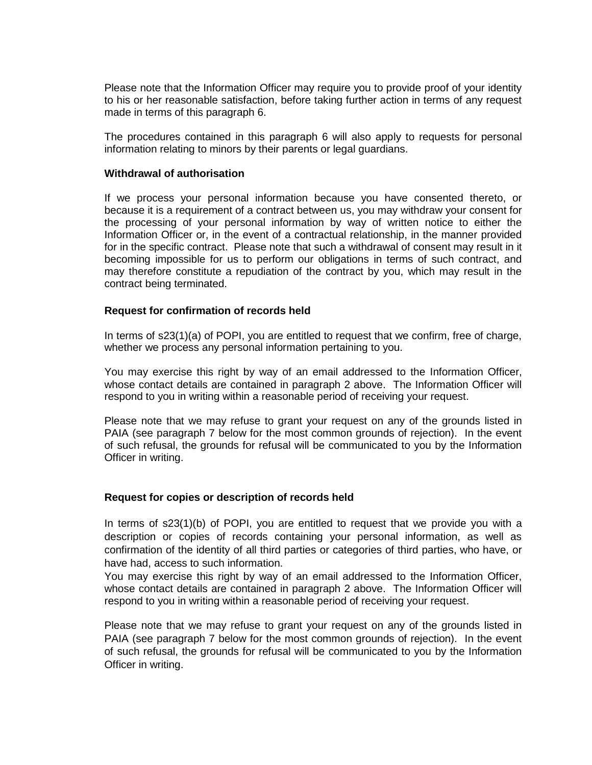Please note that the Information Officer may require you to provide proof of your identity to his or her reasonable satisfaction, before taking further action in terms of any request made in terms of this paragraph 6.

The procedures contained in this paragraph 6 will also apply to requests for personal information relating to minors by their parents or legal guardians.

### **Withdrawal of authorisation**

If we process your personal information because you have consented thereto, or because it is a requirement of a contract between us, you may withdraw your consent for the processing of your personal information by way of written notice to either the Information Officer or, in the event of a contractual relationship, in the manner provided for in the specific contract. Please note that such a withdrawal of consent may result in it becoming impossible for us to perform our obligations in terms of such contract, and may therefore constitute a repudiation of the contract by you, which may result in the contract being terminated.

# **Request for confirmation of records held**

In terms of s23(1)(a) of POPI, you are entitled to request that we confirm, free of charge, whether we process any personal information pertaining to you.

You may exercise this right by way of an email addressed to the Information Officer, whose contact details are contained in paragraph 2 above. The Information Officer will respond to you in writing within a reasonable period of receiving your request.

Please note that we may refuse to grant your request on any of the grounds listed in PAIA (see paragraph 7 below for the most common grounds of rejection). In the event of such refusal, the grounds for refusal will be communicated to you by the Information Officer in writing.

# **Request for copies or description of records held**

In terms of s23(1)(b) of POPI, you are entitled to request that we provide you with a description or copies of records containing your personal information, as well as confirmation of the identity of all third parties or categories of third parties, who have, or have had, access to such information.

You may exercise this right by way of an email addressed to the Information Officer, whose contact details are contained in paragraph 2 above. The Information Officer will respond to you in writing within a reasonable period of receiving your request.

Please note that we may refuse to grant your request on any of the grounds listed in PAIA (see paragraph 7 below for the most common grounds of rejection). In the event of such refusal, the grounds for refusal will be communicated to you by the Information Officer in writing.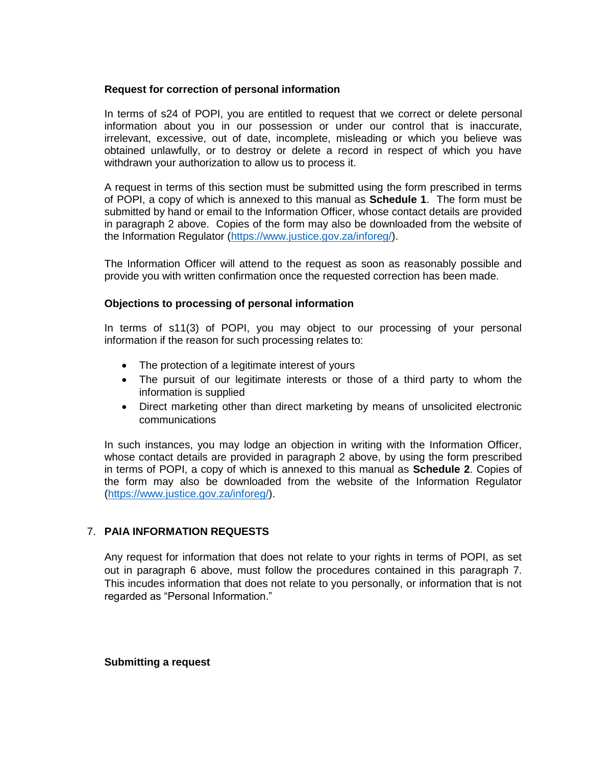# **Request for correction of personal information**

In terms of s24 of POPI, you are entitled to request that we correct or delete personal information about you in our possession or under our control that is inaccurate, irrelevant, excessive, out of date, incomplete, misleading or which you believe was obtained unlawfully, or to destroy or delete a record in respect of which you have withdrawn your authorization to allow us to process it.

A request in terms of this section must be submitted using the form prescribed in terms of POPI, a copy of which is annexed to this manual as **Schedule 1**. The form must be submitted by hand or email to the Information Officer, whose contact details are provided in paragraph 2 above. Copies of the form may also be downloaded from the website of the Information Regulator [\(https://www.justice.gov.za/inforeg/\)](https://www.justice.gov.za/inforeg/).

The Information Officer will attend to the request as soon as reasonably possible and provide you with written confirmation once the requested correction has been made.

# **Objections to processing of personal information**

In terms of s11(3) of POPI, you may object to our processing of your personal information if the reason for such processing relates to:

- The protection of a legitimate interest of yours
- The pursuit of our legitimate interests or those of a third party to whom the information is supplied
- Direct marketing other than direct marketing by means of unsolicited electronic communications

In such instances, you may lodge an objection in writing with the Information Officer, whose contact details are provided in paragraph 2 above, by using the form prescribed in terms of POPI, a copy of which is annexed to this manual as **Schedule 2**. Copies of the form may also be downloaded from the website of the Information Regulator [\(https://www.justice.gov.za/inforeg/\)](https://www.justice.gov.za/inforeg/).

# 7. **PAIA INFORMATION REQUESTS**

Any request for information that does not relate to your rights in terms of POPI, as set out in paragraph 6 above, must follow the procedures contained in this paragraph 7. This incudes information that does not relate to you personally, or information that is not regarded as "Personal Information."

#### **Submitting a request**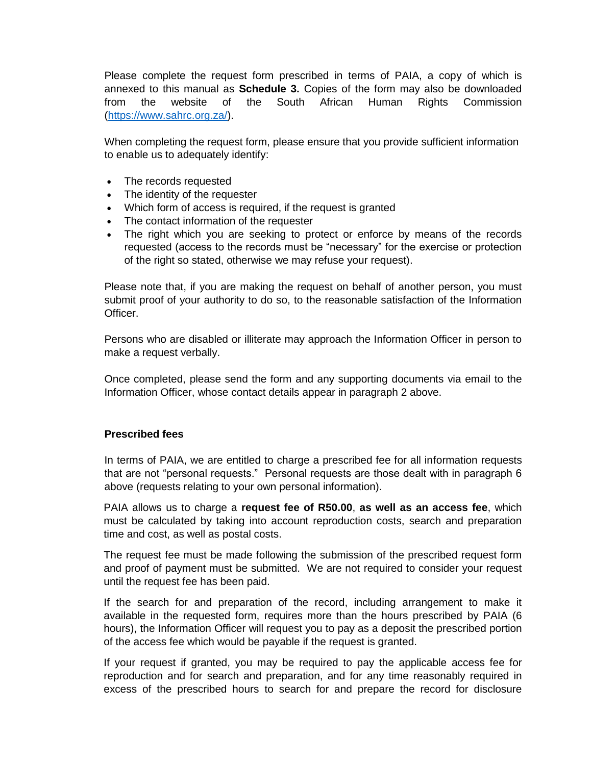Please complete the request form prescribed in terms of PAIA, a copy of which is annexed to this manual as **Schedule 3.** Copies of the form may also be downloaded from the website of the South African Human Rights Commission [\(https://www.sahrc.org.za/\)](https://www.sahrc.org.za/).

When completing the request form, please ensure that you provide sufficient information to enable us to adequately identify:

- The records requested
- The identity of the requester
- Which form of access is required, if the request is granted
- The contact information of the requester
- The right which you are seeking to protect or enforce by means of the records requested (access to the records must be "necessary" for the exercise or protection of the right so stated, otherwise we may refuse your request).

Please note that, if you are making the request on behalf of another person, you must submit proof of your authority to do so, to the reasonable satisfaction of the Information Officer.

Persons who are disabled or illiterate may approach the Information Officer in person to make a request verbally.

Once completed, please send the form and any supporting documents via email to the Information Officer, whose contact details appear in paragraph 2 above.

### **Prescribed fees**

In terms of PAIA, we are entitled to charge a prescribed fee for all information requests that are not "personal requests." Personal requests are those dealt with in paragraph 6 above (requests relating to your own personal information).

PAIA allows us to charge a **request fee of R50.00**, **as well as an access fee**, which must be calculated by taking into account reproduction costs, search and preparation time and cost, as well as postal costs.

The request fee must be made following the submission of the prescribed request form and proof of payment must be submitted. We are not required to consider your request until the request fee has been paid.

If the search for and preparation of the record, including arrangement to make it available in the requested form, requires more than the hours prescribed by PAIA (6 hours), the Information Officer will request you to pay as a deposit the prescribed portion of the access fee which would be payable if the request is granted.

If your request if granted, you may be required to pay the applicable access fee for reproduction and for search and preparation, and for any time reasonably required in excess of the prescribed hours to search for and prepare the record for disclosure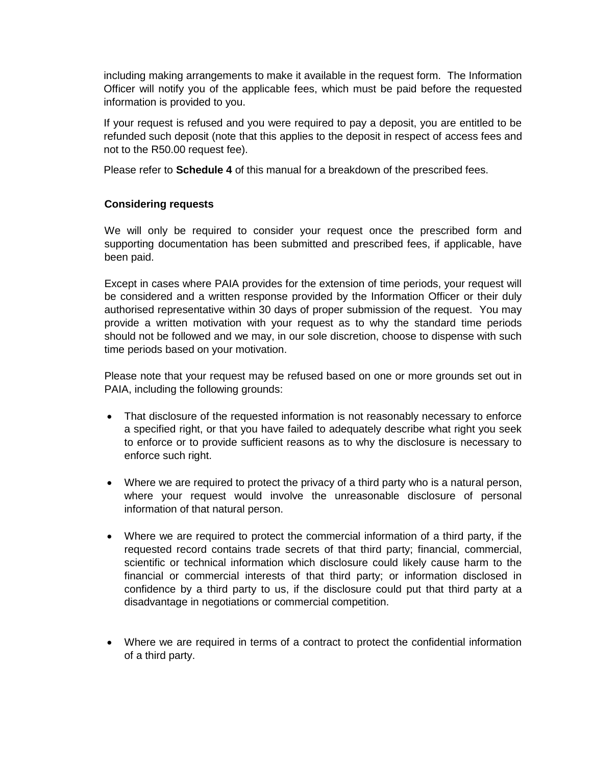including making arrangements to make it available in the request form. The Information Officer will notify you of the applicable fees, which must be paid before the requested information is provided to you.

If your request is refused and you were required to pay a deposit, you are entitled to be refunded such deposit (note that this applies to the deposit in respect of access fees and not to the R50.00 request fee).

Please refer to **Schedule 4** of this manual for a breakdown of the prescribed fees.

# **Considering requests**

We will only be required to consider your request once the prescribed form and supporting documentation has been submitted and prescribed fees, if applicable, have been paid.

Except in cases where PAIA provides for the extension of time periods, your request will be considered and a written response provided by the Information Officer or their duly authorised representative within 30 days of proper submission of the request. You may provide a written motivation with your request as to why the standard time periods should not be followed and we may, in our sole discretion, choose to dispense with such time periods based on your motivation.

Please note that your request may be refused based on one or more grounds set out in PAIA, including the following grounds:

- That disclosure of the requested information is not reasonably necessary to enforce a specified right, or that you have failed to adequately describe what right you seek to enforce or to provide sufficient reasons as to why the disclosure is necessary to enforce such right.
- Where we are required to protect the privacy of a third party who is a natural person, where your request would involve the unreasonable disclosure of personal information of that natural person.
- Where we are required to protect the commercial information of a third party, if the requested record contains trade secrets of that third party; financial, commercial, scientific or technical information which disclosure could likely cause harm to the financial or commercial interests of that third party; or information disclosed in confidence by a third party to us, if the disclosure could put that third party at a disadvantage in negotiations or commercial competition.
- Where we are required in terms of a contract to protect the confidential information of a third party.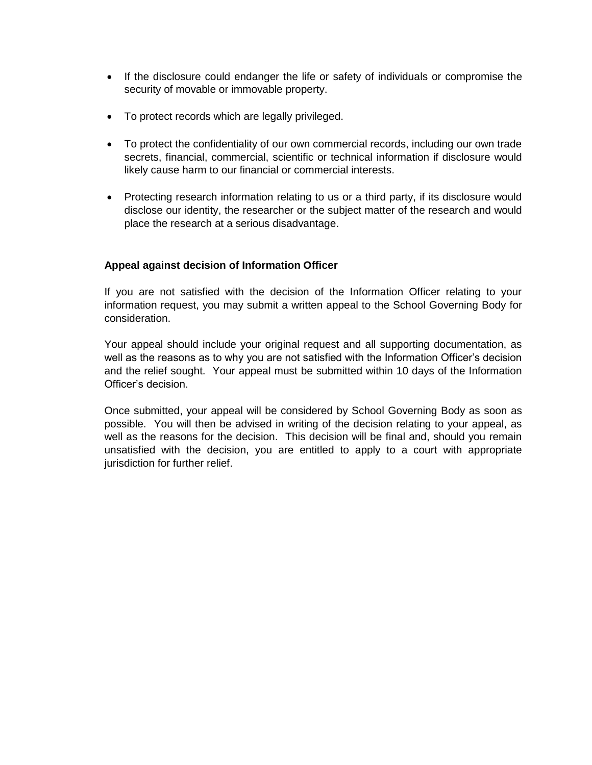- If the disclosure could endanger the life or safety of individuals or compromise the security of movable or immovable property.
- To protect records which are legally privileged.
- To protect the confidentiality of our own commercial records, including our own trade secrets, financial, commercial, scientific or technical information if disclosure would likely cause harm to our financial or commercial interests.
- Protecting research information relating to us or a third party, if its disclosure would disclose our identity, the researcher or the subject matter of the research and would place the research at a serious disadvantage.

# **Appeal against decision of Information Officer**

If you are not satisfied with the decision of the Information Officer relating to your information request, you may submit a written appeal to the School Governing Body for consideration.

Your appeal should include your original request and all supporting documentation, as well as the reasons as to why you are not satisfied with the Information Officer's decision and the relief sought. Your appeal must be submitted within 10 days of the Information Officer's decision.

Once submitted, your appeal will be considered by School Governing Body as soon as possible. You will then be advised in writing of the decision relating to your appeal, as well as the reasons for the decision. This decision will be final and, should you remain unsatisfied with the decision, you are entitled to apply to a court with appropriate jurisdiction for further relief.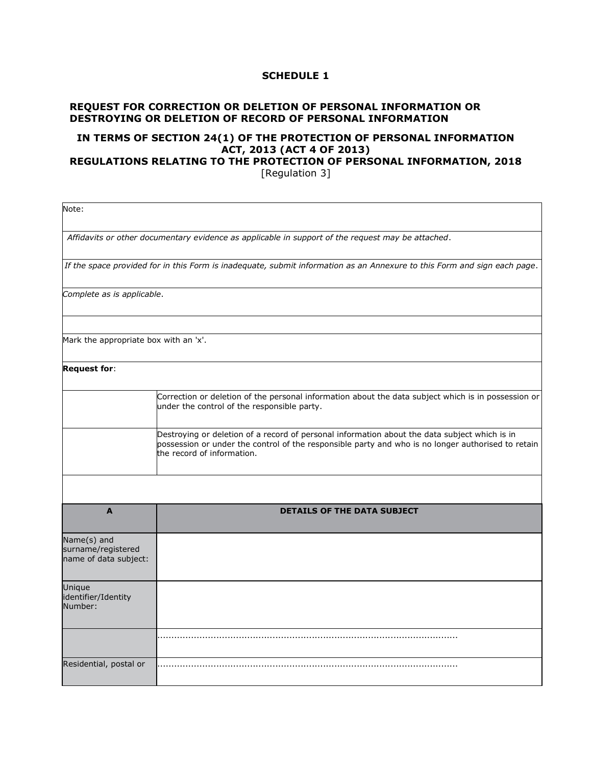# **REQUEST FOR CORRECTION OR DELETION OF PERSONAL INFORMATION OR DESTROYING OR DELETION OF RECORD OF PERSONAL INFORMATION**

# **IN TERMS OF [SECTION 24\(1\)](https://jutastat.juta.co.za/nxt/foliolinks.asp?f=xhitlist&xhitlist_x=Advanced&xhitlist_vpc=first&xhitlist_xsl=querylink.xsl&xhitlist_sel=title;path;content-type;home-title&xhitlist_d=%7bstatreg%7d&xhitlist_q=%5bfield%20folio-destination-name:%27a4y2013s24(1)%27%5d&xhitlist_md=target-id=0-0-0-139645) OF THE PROTECTION OF PERSONAL INFORMATION ACT, 2013 [\(ACT 4 OF 2013\)](https://jutastat.juta.co.za/nxt/foliolinks.asp?f=xhitlist&xhitlist_x=Advanced&xhitlist_vpc=first&xhitlist_xsl=querylink.xsl&xhitlist_sel=title;path;content-type;home-title&xhitlist_d=%7bstatreg%7d&xhitlist_q=%5bfield%20folio-destination-name:%27a4y2013%27%5d&xhitlist_md=target-id=0-0-0-41851)**

# **REGULATIONS RELATING TO THE PROTECTION OF PERSONAL INFORMATION, 2018**

[Regulation 3]

| Note:                                                      |                                                                                                                                                                                                                                   |
|------------------------------------------------------------|-----------------------------------------------------------------------------------------------------------------------------------------------------------------------------------------------------------------------------------|
|                                                            | Affidavits or other documentary evidence as applicable in support of the request may be attached.                                                                                                                                 |
|                                                            | If the space provided for in this Form is inadequate, submit information as an Annexure to this Form and sign each page.                                                                                                          |
| Complete as is applicable.                                 |                                                                                                                                                                                                                                   |
| Mark the appropriate box with an 'x'.                      |                                                                                                                                                                                                                                   |
| <b>Request for:</b>                                        |                                                                                                                                                                                                                                   |
|                                                            | Correction or deletion of the personal information about the data subject which is in possession or<br>under the control of the responsible party.                                                                                |
|                                                            | Destroying or deletion of a record of personal information about the data subject which is in<br>possession or under the control of the responsible party and who is no longer authorised to retain<br>the record of information. |
|                                                            |                                                                                                                                                                                                                                   |
| $\mathbf{A}$                                               | <b>DETAILS OF THE DATA SUBJECT</b>                                                                                                                                                                                                |
| Name(s) and<br>surname/registered<br>name of data subject: |                                                                                                                                                                                                                                   |
| Unique<br>identifier/Identity<br>Number:                   |                                                                                                                                                                                                                                   |
|                                                            |                                                                                                                                                                                                                                   |
| Residential, postal or                                     |                                                                                                                                                                                                                                   |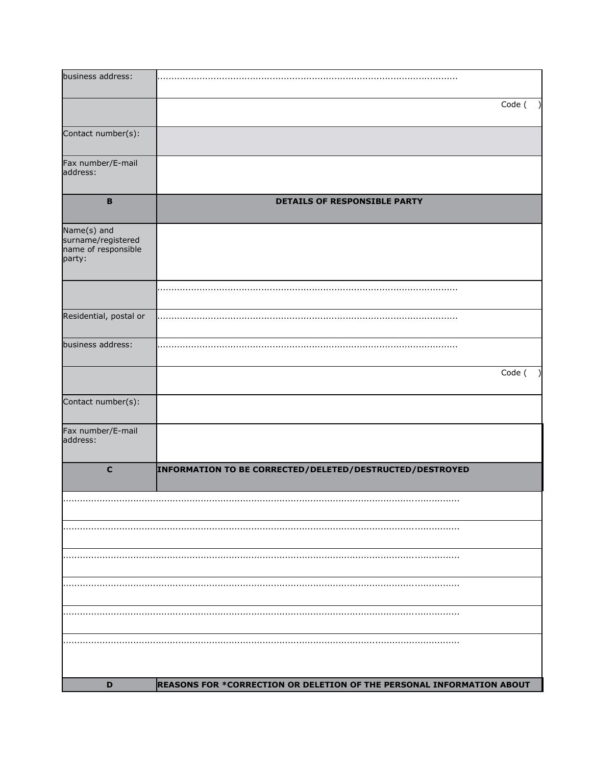| business address:                                                  |                                                                       |        |
|--------------------------------------------------------------------|-----------------------------------------------------------------------|--------|
|                                                                    |                                                                       | Code ( |
| Contact number(s):                                                 |                                                                       |        |
| Fax number/E-mail<br>address:                                      |                                                                       |        |
| $\mathbf B$                                                        | <b>DETAILS OF RESPONSIBLE PARTY</b>                                   |        |
| Name(s) and<br>surname/registered<br>name of responsible<br>party: |                                                                       |        |
|                                                                    |                                                                       |        |
| Residential, postal or                                             |                                                                       |        |
| business address:                                                  |                                                                       |        |
|                                                                    |                                                                       | Code ( |
| Contact number(s):                                                 |                                                                       |        |
| Fax number/E-mail<br>address:                                      |                                                                       |        |
| $\mathbf c$                                                        | INFORMATION TO BE CORRECTED/DELETED/DESTRUCTED/DESTROYED              |        |
|                                                                    |                                                                       |        |
|                                                                    |                                                                       |        |
|                                                                    |                                                                       |        |
|                                                                    |                                                                       |        |
|                                                                    |                                                                       |        |
|                                                                    |                                                                       |        |
| D                                                                  | REASONS FOR *CORRECTION OR DELETION OF THE PERSONAL INFORMATION ABOUT |        |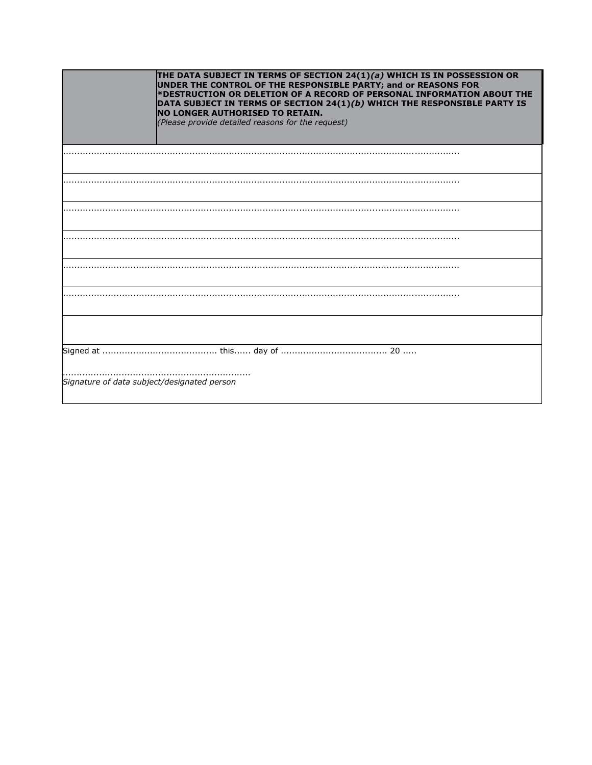| THE DATA SUBJECT IN TERMS OF SECTION 24(1)(a) WHICH IS IN POSSESSION OR<br>UNDER THE CONTROL OF THE RESPONSIBLE PARTY; and or REASONS FOR<br>*DESTRUCTION OR DELETION OF A RECORD OF PERSONAL INFORMATION ABOUT THE<br>DATA SUBJECT IN TERMS OF SECTION 24(1)(b) WHICH THE RESPONSIBLE PARTY IS<br><b>NO LONGER AUTHORISED TO RETAIN.</b><br>(Please provide detailed reasons for the request) |
|------------------------------------------------------------------------------------------------------------------------------------------------------------------------------------------------------------------------------------------------------------------------------------------------------------------------------------------------------------------------------------------------|
|                                                                                                                                                                                                                                                                                                                                                                                                |
|                                                                                                                                                                                                                                                                                                                                                                                                |
|                                                                                                                                                                                                                                                                                                                                                                                                |
|                                                                                                                                                                                                                                                                                                                                                                                                |
|                                                                                                                                                                                                                                                                                                                                                                                                |
|                                                                                                                                                                                                                                                                                                                                                                                                |
|                                                                                                                                                                                                                                                                                                                                                                                                |
|                                                                                                                                                                                                                                                                                                                                                                                                |
| Signature of data subject/designated person                                                                                                                                                                                                                                                                                                                                                    |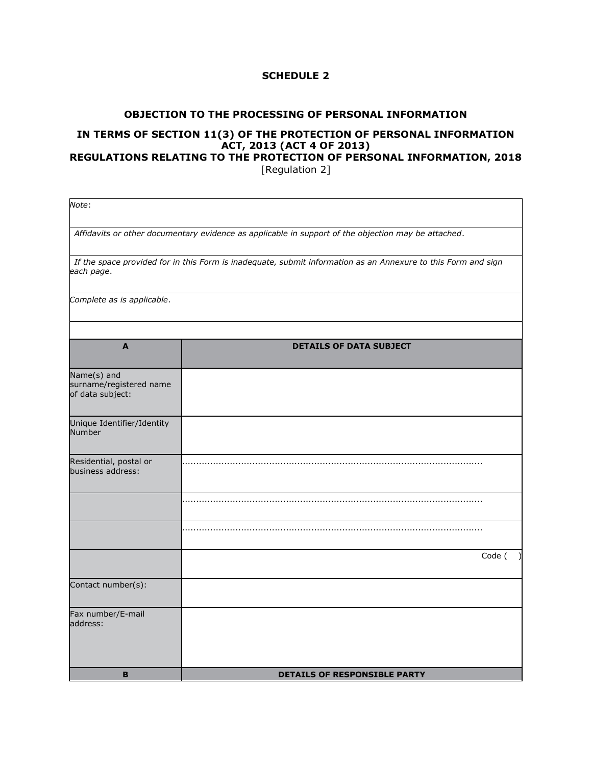#### **OBJECTION TO THE PROCESSING OF PERSONAL INFORMATION**

# **IN TERMS OF [SECTION 11\(3\)](https://jutastat.juta.co.za/nxt/foliolinks.asp?f=xhitlist&xhitlist_x=Advanced&xhitlist_vpc=first&xhitlist_xsl=querylink.xsl&xhitlist_sel=title;path;content-type;home-title&xhitlist_d=%7bstatreg%7d&xhitlist_q=%5bfield%20folio-destination-name:%27a4y2013s11(3)%27%5d&xhitlist_md=target-id=0-0-0-139379) OF THE PROTECTION OF PERSONAL INFORMATION ACT, 2013 [\(ACT 4 OF 2013\)](https://jutastat.juta.co.za/nxt/foliolinks.asp?f=xhitlist&xhitlist_x=Advanced&xhitlist_vpc=first&xhitlist_xsl=querylink.xsl&xhitlist_sel=title;path;content-type;home-title&xhitlist_d=%7bstatreg%7d&xhitlist_q=%5bfield%20folio-destination-name:%27a4y2013%27%5d&xhitlist_md=target-id=0-0-0-41851)**

### **REGULATIONS RELATING TO THE PROTECTION OF PERSONAL INFORMATION, 2018** [Regulation 2]

| Note:                                                      |                                                                                                               |
|------------------------------------------------------------|---------------------------------------------------------------------------------------------------------------|
|                                                            | Affidavits or other documentary evidence as applicable in support of the objection may be attached.           |
| each page.                                                 | If the space provided for in this Form is inadequate, submit information as an Annexure to this Form and sign |
| Complete as is applicable.                                 |                                                                                                               |
|                                                            |                                                                                                               |
| $\mathbf{A}$                                               | <b>DETAILS OF DATA SUBJECT</b>                                                                                |
| Name(s) and<br>surname/registered name<br>of data subject: |                                                                                                               |
| Unique Identifier/Identity<br><b>Number</b>                |                                                                                                               |
| Residential, postal or<br>business address:                |                                                                                                               |
|                                                            |                                                                                                               |
|                                                            |                                                                                                               |
|                                                            | Code (                                                                                                        |
| Contact number(s):                                         |                                                                                                               |
| Fax number/E-mail<br>address:                              |                                                                                                               |
| B                                                          | <b>DETAILS OF RESPONSIBLE PARTY</b>                                                                           |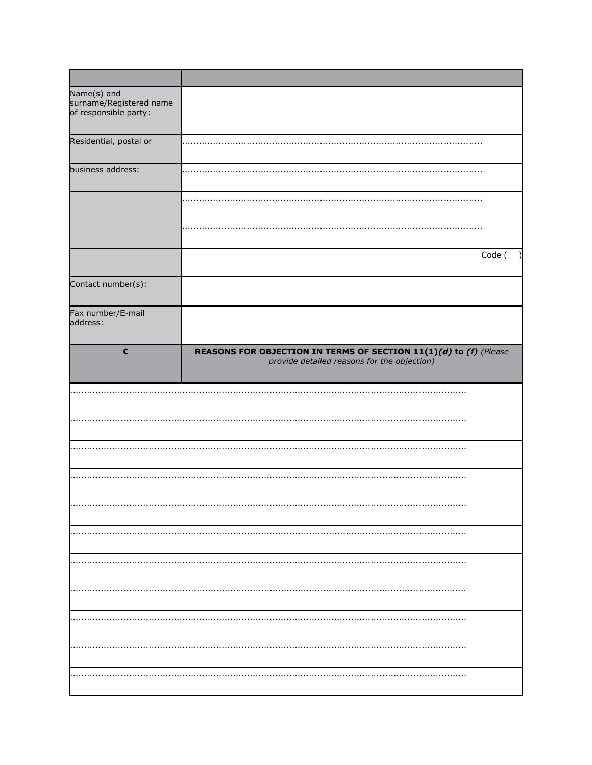| Name(s) and<br>surname/Registered name<br>of responsible party: |                                                                                                                  |
|-----------------------------------------------------------------|------------------------------------------------------------------------------------------------------------------|
| Residential, postal or                                          |                                                                                                                  |
| business address:                                               |                                                                                                                  |
|                                                                 |                                                                                                                  |
|                                                                 |                                                                                                                  |
|                                                                 | Code (                                                                                                           |
| Contact number(s):                                              |                                                                                                                  |
| Fax number/E-mail<br>address:                                   |                                                                                                                  |
| $\mathbf c$                                                     | REASONS FOR OBJECTION IN TERMS OF SECTION 11(1)(d) to (f) (Please<br>provide detailed reasons for the objection) |
|                                                                 |                                                                                                                  |
|                                                                 |                                                                                                                  |
|                                                                 |                                                                                                                  |
|                                                                 |                                                                                                                  |
|                                                                 |                                                                                                                  |
|                                                                 |                                                                                                                  |
|                                                                 |                                                                                                                  |
|                                                                 |                                                                                                                  |
|                                                                 |                                                                                                                  |
|                                                                 |                                                                                                                  |
|                                                                 |                                                                                                                  |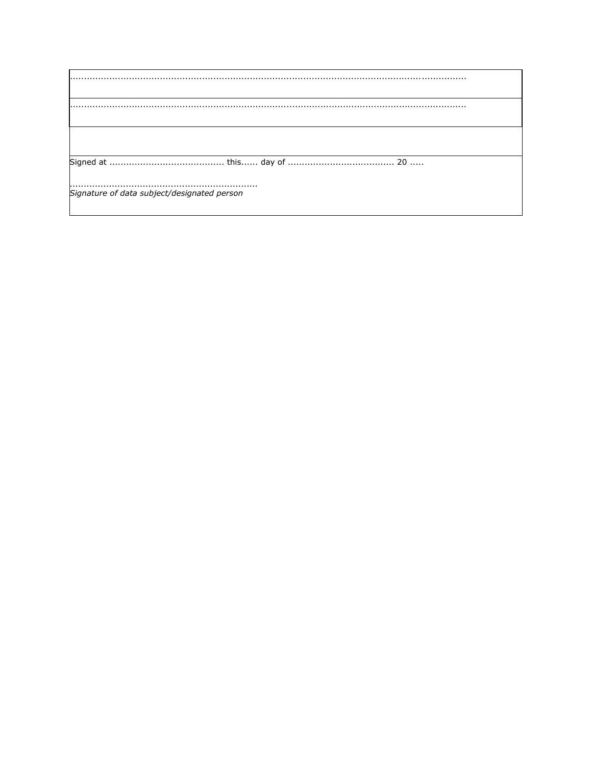| Signature of data subject/designated person |
|---------------------------------------------|
|                                             |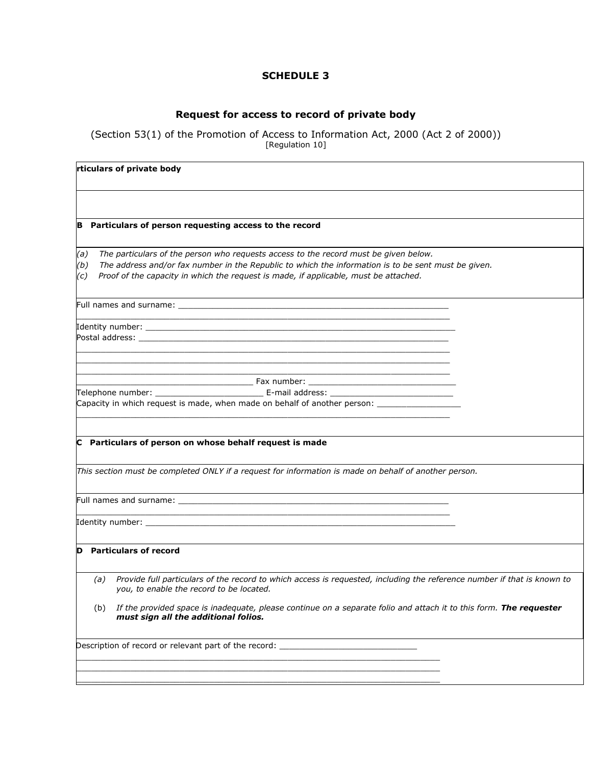# **Request for access to record of private body**

#### [\(Section 53\(1\)](https://jutastat.juta.co.za/nxt/foliolinks.asp?f=xhitlist&xhitlist_x=Advanced&xhitlist_vpc=first&xhitlist_xsl=querylink.xsl&xhitlist_sel=title;path;content-type;home-title&xhitlist_d=%7bstatreg%7d&xhitlist_q=%5bfield%20folio-destination-name:%27a2y2000s53(1)%27%5d&xhitlist_md=target-id=0-0-0-128917) of the Promotion of Access to Information Act, 2000 [\(Act 2 of 2000\)](https://jutastat.juta.co.za/nxt/foliolinks.asp?f=xhitlist&xhitlist_x=Advanced&xhitlist_vpc=first&xhitlist_xsl=querylink.xsl&xhitlist_sel=title;path;content-type;home-title&xhitlist_d=%7bstatreg%7d&xhitlist_q=%5bfield%20folio-destination-name:%27a2y2000%27%5d&xhitlist_md=target-id=0-0-0-13825)) [\[Regulation 10\]](https://jutastat.juta.co.za/nxt/foliolinks.asp?f=xhitlist&xhitlist_x=Advanced&xhitlist_vpc=first&xhitlist_xsl=querylink.xsl&xhitlist_sel=title;path;content-type;home-title&xhitlist_d=%7bsargstat%7d&xhitlist_q=%5bfield%20folio-destination-name:%27gnr187y2002r10%27%5d&xhitlist_md=target-id=0-0-0-433475)

|                   | Particulars of person requesting access to the record                                                                                                                                                                                                                               |  |
|-------------------|-------------------------------------------------------------------------------------------------------------------------------------------------------------------------------------------------------------------------------------------------------------------------------------|--|
| (a)<br>(b)<br>(c) | The particulars of the person who requests access to the record must be given below.<br>The address and/or fax number in the Republic to which the information is to be sent must be given.<br>Proof of the capacity in which the request is made, if applicable, must be attached. |  |
|                   |                                                                                                                                                                                                                                                                                     |  |
|                   | Postal address: with a state of the state of the state of the state of the state of the state of the state of the state of the state of the state of the state of the state of the state of the state of the state of the stat                                                      |  |
|                   |                                                                                                                                                                                                                                                                                     |  |
|                   | Capacity in which request is made, when made on behalf of another person: _________________________                                                                                                                                                                                 |  |
|                   | C Particulars of person on whose behalf request is made                                                                                                                                                                                                                             |  |
|                   | This section must be completed ONLY if a request for information is made on behalf of another person.                                                                                                                                                                               |  |
|                   | and the control of the control of the control of the control of the control of the control of the control of the                                                                                                                                                                    |  |
|                   |                                                                                                                                                                                                                                                                                     |  |
|                   | <b>Particulars of record</b>                                                                                                                                                                                                                                                        |  |
|                   | (a) Provide full particulars of the record to which access is requested, including the reference number if that is known to<br>you, to enable the record to be located.                                                                                                             |  |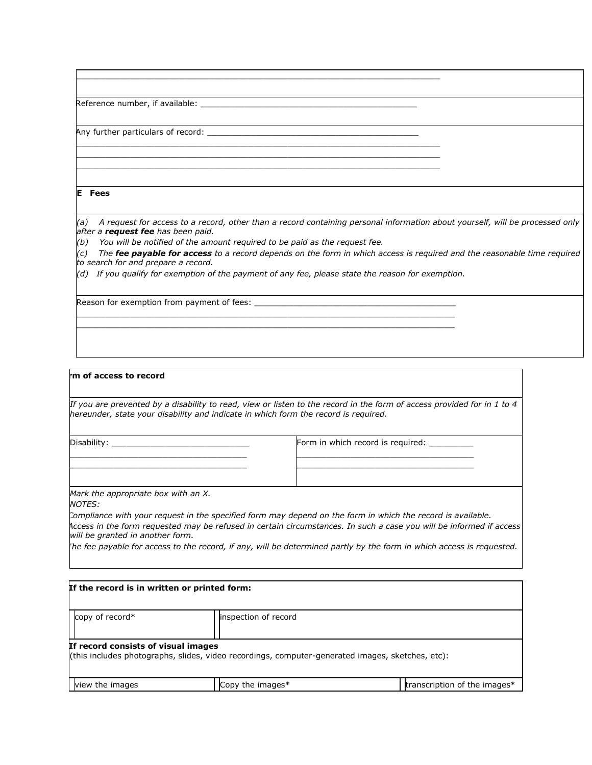2 Reference number, if available: \_\_\_\_\_\_\_\_\_\_\_\_\_\_\_\_\_\_\_\_\_\_\_\_\_\_\_\_\_\_\_\_\_\_\_\_\_\_\_\_\_\_\_\_

Any further particulars of record:  $\overline{\phantom{a}}$ 

#### **E Fees**

*(a) A request for access to a record, other than a record containing personal information about yourself, will be processed only after a request fee has been paid.*

*(b) You will be notified of the amount required to be paid as the request fee.*

*(c) The fee payable for access to a record depends on the form in which access is required and the reasonable time required to search for and prepare a record.*

*(d) If you qualify for exemption of the payment of any fee, please state the reason for exemption.*

 $\mathcal{L}_\text{max} = \frac{1}{2} \int_{-\infty}^{\infty} \frac{1}{2} \, \mathcal{L}_\text{max}$  $\mathcal{L}_\text{max}$  , and the state of the state of the state of the state of the state of the state of the state of the state of the state of the state of the state of the state of the state of the state of the state of the st

 $\mathcal{L}_\text{max}$  , and the set of the set of the set of the set of the set of the set of the set of the set of the set of the set of the set of the set of the set of the set of the set of the set of the set of the set of the

 $\mathcal{L}_\text{max}$  , and the set of the set of the set of the set of the set of the set of the set of the set of the set of the set of the set of the set of the set of the set of the set of the set of the set of the set of the  $\mathcal{L}_\text{max}$  , and the set of the set of the set of the set of the set of the set of the set of the set of the set of the set of the set of the set of the set of the set of the set of the set of the set of the set of the  $\mathcal{L}_\text{max}$  , and the set of the set of the set of the set of the set of the set of the set of the set of the set of the set of the set of the set of the set of the set of the set of the set of the set of the set of the

Reason for exemption from payment of fees:  $\_\_$ 

#### **Fm** of access to record

*If you are prevented by a disability to read, view or listen to the record in the form of access provided for in 1 to 4 hereunder, state your disability and indicate in which form the record is required.*

Disability: \_\_\_\_\_\_\_\_\_\_\_\_\_\_\_\_\_\_\_\_\_\_\_\_\_\_\_\_

Form in which record is required:

\_\_\_\_\_\_\_\_\_\_\_\_\_\_\_\_\_\_\_\_\_\_\_\_\_\_\_\_\_\_\_\_\_\_\_\_ \_\_\_\_\_\_\_\_\_\_\_\_\_\_\_\_\_\_\_\_\_\_\_\_\_\_\_\_\_\_\_\_\_\_\_\_

*Mark the appropriate box with an X.*

\_\_\_\_\_\_\_\_\_\_\_\_\_\_\_\_\_\_\_\_\_\_\_\_\_\_\_\_\_\_\_\_\_\_\_\_ \_\_\_\_\_\_\_\_\_\_\_\_\_\_\_\_\_\_\_\_\_\_\_\_\_\_\_\_\_\_\_\_\_\_\_\_

*NOTES:*

*(a) Compliance with your request in the specified form may depend on the form in which the record is available. (b) Access in the form requested may be refused in certain circumstances. In such a case you will be informed if access will be granted in another form.*

*(c) The fee payable for access to the record, if any, will be determined partly by the form in which access is requested.*

| copy of record $*$                  | inspection of record                                                                             |  |
|-------------------------------------|--------------------------------------------------------------------------------------------------|--|
| If record consists of visual images | (this includes photographs, slides, video recordings, computer-generated images, sketches, etc): |  |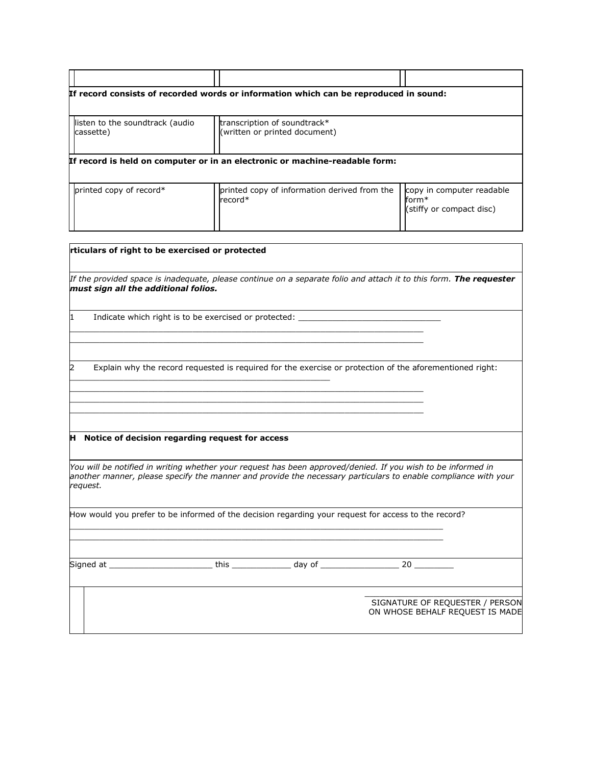| listen to the soundtrack (audio<br>cassette) | transcription of soundtrack*<br>(written or printed document)               |  |
|----------------------------------------------|-----------------------------------------------------------------------------|--|
|                                              | If record is held on computer or in an electronic or machine-readable form: |  |
|                                              |                                                                             |  |

| must sign all the additional folios. |                                                   | If the provided space is inadequate, please continue on a separate folio and attach it to this form. The requester                                                                                                             |  |
|--------------------------------------|---------------------------------------------------|--------------------------------------------------------------------------------------------------------------------------------------------------------------------------------------------------------------------------------|--|
| 1                                    |                                                   | Indicate which right is to be exercised or protected:                                                                                                                                                                          |  |
| 2                                    |                                                   | Explain why the record requested is required for the exercise or protection of the aforementioned right:                                                                                                                       |  |
|                                      |                                                   |                                                                                                                                                                                                                                |  |
|                                      |                                                   |                                                                                                                                                                                                                                |  |
| request.                             | H Notice of decision regarding request for access | You will be notified in writing whether your request has been approved/denied. If you wish to be informed in<br>another manner, please specify the manner and provide the necessary particulars to enable compliance with your |  |
|                                      |                                                   | How would you prefer to be informed of the decision regarding your request for access to the record?                                                                                                                           |  |
|                                      |                                                   |                                                                                                                                                                                                                                |  |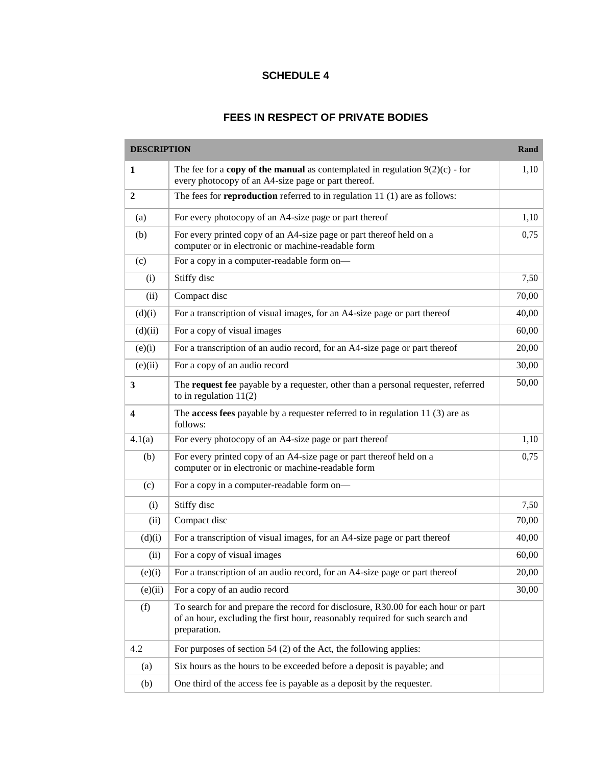# **FEES IN RESPECT OF PRIVATE BODIES**

| <b>DESCRIPTION</b>      |                                                                                                                                                                                    | Rand  |
|-------------------------|------------------------------------------------------------------------------------------------------------------------------------------------------------------------------------|-------|
| 1                       | The fee for a <b>copy of the manual</b> as contemplated in regulation $9(2)(c)$ - for<br>every photocopy of an A4-size page or part thereof.                                       | 1,10  |
| 2                       | The fees for <b>reproduction</b> referred to in regulation $11(1)$ are as follows:                                                                                                 |       |
| (a)                     | For every photocopy of an A4-size page or part thereof                                                                                                                             | 1,10  |
| (b)                     | For every printed copy of an A4-size page or part thereof held on a<br>computer or in electronic or machine-readable form                                                          | 0,75  |
| (c)                     | For a copy in a computer-readable form on-                                                                                                                                         |       |
| (i)                     | Stiffy disc                                                                                                                                                                        | 7,50  |
| (ii)                    | Compact disc                                                                                                                                                                       | 70,00 |
| (d)(i)                  | For a transcription of visual images, for an A4-size page or part thereof                                                                                                          | 40,00 |
| (d)(ii)                 | For a copy of visual images                                                                                                                                                        | 60,00 |
| (e)(i)                  | For a transcription of an audio record, for an A4-size page or part thereof                                                                                                        | 20,00 |
| (e)(ii)                 | For a copy of an audio record                                                                                                                                                      | 30,00 |
| 3                       | The request fee payable by a requester, other than a personal requester, referred<br>to in regulation $11(2)$                                                                      | 50,00 |
| $\overline{\mathbf{4}}$ | The <b>access fees</b> payable by a requester referred to in regulation $11(3)$ are as<br>follows:                                                                                 |       |
| 4.1(a)                  | For every photocopy of an A4-size page or part thereof                                                                                                                             | 1,10  |
| (b)                     | For every printed copy of an A4-size page or part thereof held on a<br>computer or in electronic or machine-readable form                                                          | 0,75  |
| (c)                     | For a copy in a computer-readable form on-                                                                                                                                         |       |
| (i)                     | Stiffy disc                                                                                                                                                                        | 7,50  |
| (ii)                    | Compact disc                                                                                                                                                                       | 70,00 |
| (d)(i)                  | For a transcription of visual images, for an A4-size page or part thereof                                                                                                          | 40,00 |
| (ii)                    | For a copy of visual images                                                                                                                                                        | 60,00 |
| (e)(i)                  | For a transcription of an audio record, for an A4-size page or part thereof                                                                                                        | 20,00 |
| (e)(ii)                 | For a copy of an audio record                                                                                                                                                      | 30,00 |
| (f)                     | To search for and prepare the record for disclosure, R30.00 for each hour or part<br>of an hour, excluding the first hour, reasonably required for such search and<br>preparation. |       |
| 4.2                     | For purposes of section $54$ (2) of the Act, the following applies:                                                                                                                |       |
| (a)                     | Six hours as the hours to be exceeded before a deposit is payable; and                                                                                                             |       |
| (b)                     | One third of the access fee is payable as a deposit by the requester.                                                                                                              |       |